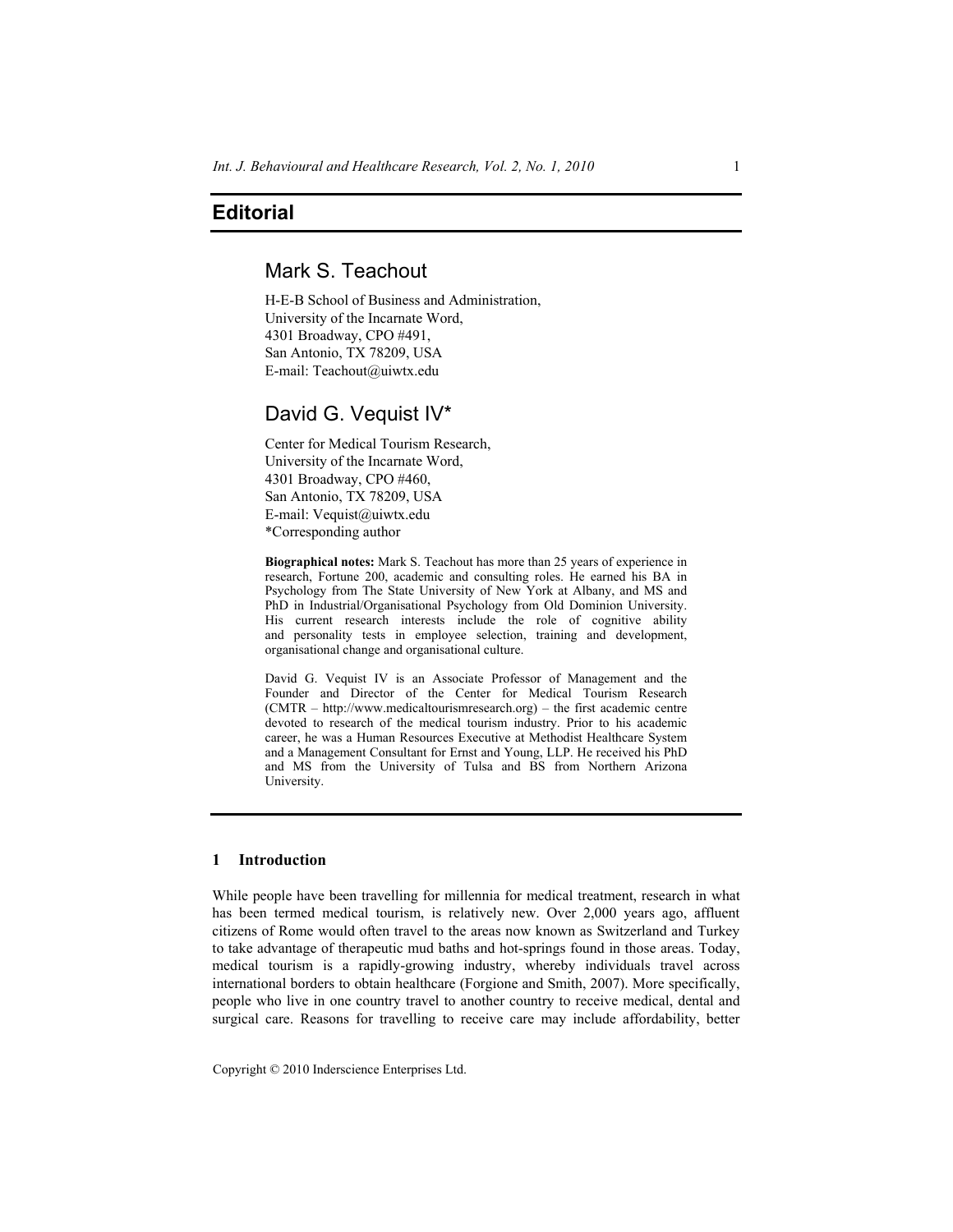# **Editorial**

# Mark S. Teachout

H-E-B School of Business and Administration, University of the Incarnate Word, 4301 Broadway, CPO #491, San Antonio, TX 78209, USA E-mail: Teachout@uiwtx.edu

## David G. Vequist IV\*

Center for Medical Tourism Research, University of the Incarnate Word, 4301 Broadway, CPO #460, San Antonio, TX 78209, USA E-mail: Vequist@uiwtx.edu \*Corresponding author

**Biographical notes:** Mark S. Teachout has more than 25 years of experience in research, Fortune 200, academic and consulting roles. He earned his BA in Psychology from The State University of New York at Albany, and MS and PhD in Industrial/Organisational Psychology from Old Dominion University. His current research interests include the role of cognitive ability and personality tests in employee selection, training and development, organisational change and organisational culture.

David G. Vequist IV is an Associate Professor of Management and the Founder and Director of the Center for Medical Tourism Research (CMTR – http://www.medicaltourismresearch.org) – the first academic centre devoted to research of the medical tourism industry. Prior to his academic career, he was a Human Resources Executive at Methodist Healthcare System and a Management Consultant for Ernst and Young, LLP. He received his PhD and MS from the University of Tulsa and BS from Northern Arizona University.

### **1 Introduction**

While people have been travelling for millennia for medical treatment, research in what has been termed medical tourism, is relatively new. Over 2,000 years ago, affluent citizens of Rome would often travel to the areas now known as Switzerland and Turkey to take advantage of therapeutic mud baths and hot-springs found in those areas. Today, medical tourism is a rapidly-growing industry, whereby individuals travel across international borders to obtain healthcare (Forgione and Smith, 2007). More specifically, people who live in one country travel to another country to receive medical, dental and surgical care. Reasons for travelling to receive care may include affordability, better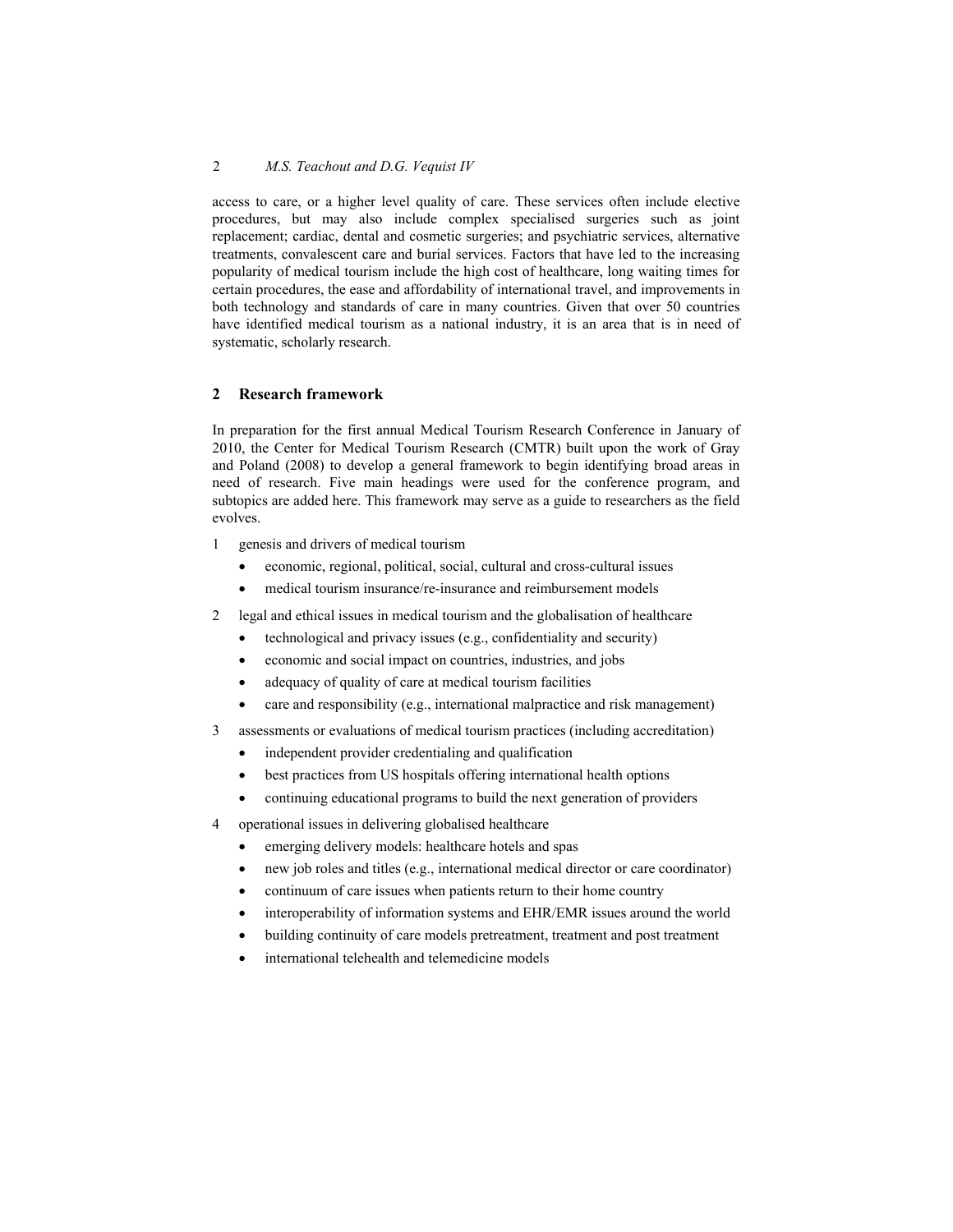#### 2 *M.S. Teachout and D.G. Vequist IV*

access to care, or a higher level quality of care. These services often include elective procedures, but may also include complex specialised surgeries such as joint replacement; cardiac, dental and cosmetic surgeries; and psychiatric services, alternative treatments, convalescent care and burial services. Factors that have led to the increasing popularity of medical tourism include the high cost of healthcare, long waiting times for certain procedures, the ease and affordability of international travel, and improvements in both technology and standards of care in many countries. Given that over 50 countries have identified medical tourism as a national industry, it is an area that is in need of systematic, scholarly research.

### **2 Research framework**

In preparation for the first annual Medical Tourism Research Conference in January of 2010, the Center for Medical Tourism Research (CMTR) built upon the work of Gray and Poland (2008) to develop a general framework to begin identifying broad areas in need of research. Five main headings were used for the conference program, and subtopics are added here. This framework may serve as a guide to researchers as the field evolves.

- 1 genesis and drivers of medical tourism
	- economic, regional, political, social, cultural and cross-cultural issues
	- medical tourism insurance/re-insurance and reimbursement models
- 2 legal and ethical issues in medical tourism and the globalisation of healthcare
	- technological and privacy issues (e.g., confidentiality and security)
	- economic and social impact on countries, industries, and jobs
	- adequacy of quality of care at medical tourism facilities
	- care and responsibility (e.g., international malpractice and risk management)
- 3 assessments or evaluations of medical tourism practices (including accreditation)
	- independent provider credentialing and qualification
	- best practices from US hospitals offering international health options
	- continuing educational programs to build the next generation of providers
- 4 operational issues in delivering globalised healthcare
	- emerging delivery models: healthcare hotels and spas
	- new job roles and titles (e.g., international medical director or care coordinator)
	- continuum of care issues when patients return to their home country
	- interoperability of information systems and EHR/EMR issues around the world
	- building continuity of care models pretreatment, treatment and post treatment
	- international telehealth and telemedicine models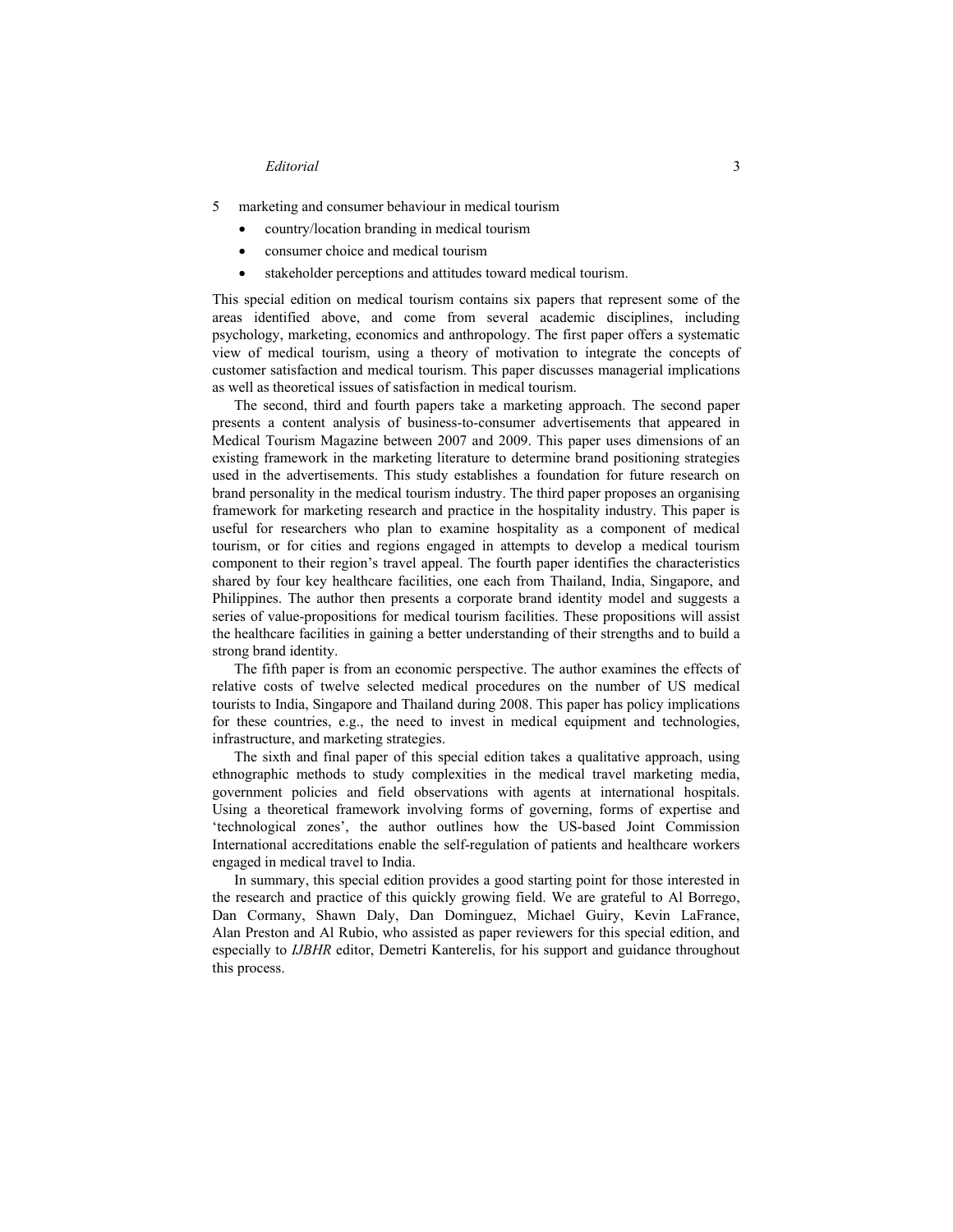#### *Editorial* 3

5 marketing and consumer behaviour in medical tourism

- country/location branding in medical tourism
- consumer choice and medical tourism
- stakeholder perceptions and attitudes toward medical tourism.

This special edition on medical tourism contains six papers that represent some of the areas identified above, and come from several academic disciplines, including psychology, marketing, economics and anthropology. The first paper offers a systematic view of medical tourism, using a theory of motivation to integrate the concepts of customer satisfaction and medical tourism. This paper discusses managerial implications as well as theoretical issues of satisfaction in medical tourism.

The second, third and fourth papers take a marketing approach. The second paper presents a content analysis of business-to-consumer advertisements that appeared in Medical Tourism Magazine between 2007 and 2009. This paper uses dimensions of an existing framework in the marketing literature to determine brand positioning strategies used in the advertisements. This study establishes a foundation for future research on brand personality in the medical tourism industry. The third paper proposes an organising framework for marketing research and practice in the hospitality industry. This paper is useful for researchers who plan to examine hospitality as a component of medical tourism, or for cities and regions engaged in attempts to develop a medical tourism component to their region's travel appeal. The fourth paper identifies the characteristics shared by four key healthcare facilities, one each from Thailand, India, Singapore, and Philippines. The author then presents a corporate brand identity model and suggests a series of value-propositions for medical tourism facilities. These propositions will assist the healthcare facilities in gaining a better understanding of their strengths and to build a strong brand identity.

The fifth paper is from an economic perspective. The author examines the effects of relative costs of twelve selected medical procedures on the number of US medical tourists to India, Singapore and Thailand during 2008. This paper has policy implications for these countries, e.g., the need to invest in medical equipment and technologies, infrastructure, and marketing strategies.

The sixth and final paper of this special edition takes a qualitative approach, using ethnographic methods to study complexities in the medical travel marketing media, government policies and field observations with agents at international hospitals. Using a theoretical framework involving forms of governing, forms of expertise and 'technological zones', the author outlines how the US-based Joint Commission International accreditations enable the self-regulation of patients and healthcare workers engaged in medical travel to India.

In summary, this special edition provides a good starting point for those interested in the research and practice of this quickly growing field. We are grateful to Al Borrego, Dan Cormany, Shawn Daly, Dan Dominguez, Michael Guiry, Kevin LaFrance, Alan Preston and Al Rubio, who assisted as paper reviewers for this special edition, and especially to *IJBHR* editor, Demetri Kanterelis, for his support and guidance throughout this process.